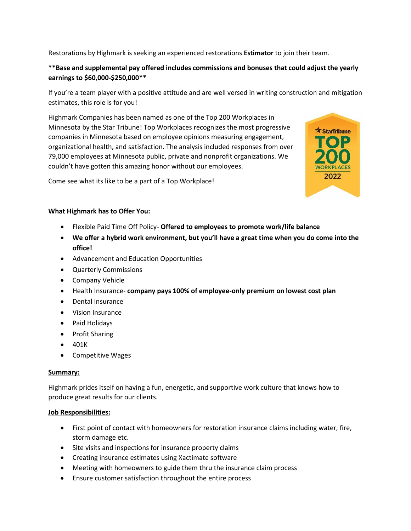Restorations by Highmark is seeking an experienced restorations **Estimator** to join their team.

# **\*\*Base and supplemental pay offered includes commissions and bonuses that could adjust the yearly earnings to \$60,000-\$250,000\*\***

If you're a team player with a positive attitude and are well versed in writing construction and mitigation estimates, this role is for you!

Highmark Companies has been named as one of the Top 200 Workplaces in Minnesota by the Star Tribune! Top Workplaces recognizes the most progressive companies in Minnesota based on employee opinions measuring engagement, organizational health, and satisfaction. The analysis included responses from over 79,000 employees at Minnesota public, private and nonprofit organizations. We couldn't have gotten this amazing honor without our employees.



Come see what its like to be a part of a Top Workplace!

## **What Highmark has to Offer You:**

- Flexible Paid Time Off Policy- **Offered to employees to promote work/life balance**
- **We offer a hybrid work environment, but you'll have a great time when you do come into the office!**
- Advancement and Education Opportunities
- Quarterly Commissions
- Company Vehicle
- Health Insurance- **company pays 100% of employee-only premium on lowest cost plan**
- Dental Insurance
- Vision Insurance
- Paid Holidays
- Profit Sharing
- 401K
- Competitive Wages

## **Summary:**

Highmark prides itself on having a fun, energetic, and supportive work culture that knows how to produce great results for our clients.

## **Job Responsibilities:**

- First point of contact with homeowners for restoration insurance claims including water, fire, storm damage etc.
- Site visits and inspections for insurance property claims
- Creating insurance estimates using Xactimate software
- Meeting with homeowners to guide them thru the insurance claim process
- Ensure customer satisfaction throughout the entire process